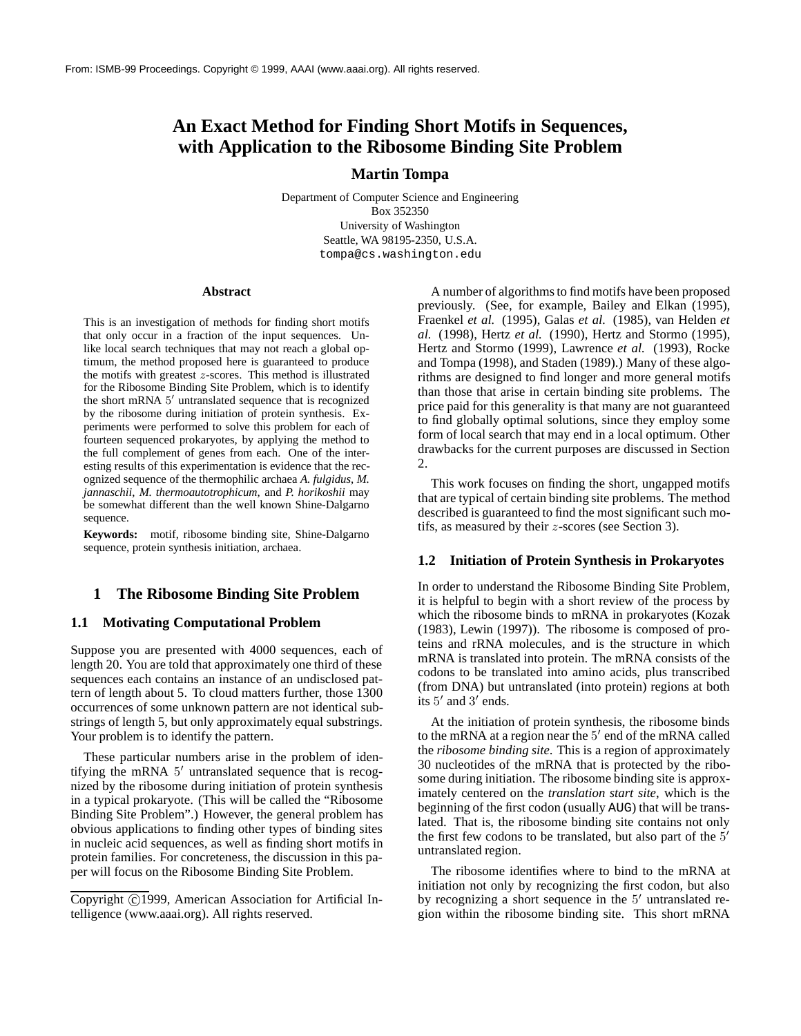# **An Exact Method for Finding Short Motifs in Sequences, with Application to the Ribosome Binding Site Problem**

## **Martin Tompa**

Department of Computer Science and Engineering Box 352350 University of Washington Seattle, WA 98195-2350, U.S.A. tompa@cs.washington.edu

#### **Abstract**

This is an investigation of methods for finding short motifs that only occur in a fraction of the input sequences. Unlike local search techniques that may not reach a global optimum, the method proposed here is guaranteed to produce the motifs with greatest z-scores. This method is illustrated for the Ribosome Binding Site Problem, which is to identify the short mRNA  $5'$  untranslated sequence that is recognized by the ribosome during initiation of protein synthesis. Experiments were performed to solve this problem for each of fourteen sequenced prokaryotes, by applying the method to the full complement of genes from each. One of the interesting results of this experimentation is evidence that the recognized sequence of the thermophilic archaea *A. fulgidus*, *M. jannaschii*, *M. thermoautotrophicum*, and *P. horikoshii* may be somewhat different than the well known Shine-Dalgarno sequence.

**Keywords:** motif, ribosome binding site, Shine-Dalgarno sequence, protein synthesis initiation, archaea.

# **1 The Ribosome Binding Site Problem**

# **1.1 Motivating Computational Problem**

Suppose you are presented with 4000 sequences, each of length 20. You are told that approximately one third of these sequences each contains an instance of an undisclosed pattern of length about 5. To cloud matters further, those 1300 occurrences of some unknown pattern are not identical substrings of length 5, but only approximately equal substrings. Your problem is to identify the pattern.

These particular numbers arise in the problem of identifying the mRNA  $5'$  untranslated sequence that is recognized by the ribosome during initiation of protein synthesis in a typical prokaryote. (This will be called the "Ribosome Binding Site Problem".) However, the general problem has obvious applications to finding other types of binding sites in nucleic acid sequences, as well as finding short motifs in protein families. For concreteness, the discussion in this paper will focus on the Ribosome Binding Site Problem.

A number of algorithms to find motifs have been proposed previously. (See, for example, Bailey and Elkan (1995), Fraenkel *et al.* (1995), Galas *et al.* (1985), van Helden *et al.* (1998), Hertz *et al.* (1990), Hertz and Stormo (1995), Hertz and Stormo (1999), Lawrence *et al.* (1993), Rocke and Tompa (1998), and Staden (1989).) Many of these algorithms are designed to find longer and more general motifs than those that arise in certain binding site problems. The price paid for this generality is that many are not guaranteed to find globally optimal solutions, since they employ some form of local search that may end in a local optimum. Other drawbacks for the current purposes are discussed in Section 2.

This work focuses on finding the short, ungapped motifs that are typical of certain binding site problems. The method described is guaranteed to find the most significant such motifs, as measured by their z-scores (see Section 3).

### **1.2 Initiation of Protein Synthesis in Prokaryotes**

In order to understand the Ribosome Binding Site Problem, it is helpful to begin with a short review of the process by which the ribosome binds to mRNA in prokaryotes (Kozak (1983), Lewin (1997)). The ribosome is composed of proteins and rRNA molecules, and is the structure in which mRNA is translated into protein. The mRNA consists of the codons to be translated into amino acids, plus transcribed (from DNA) but untranslated (into protein) regions at both its  $5'$  and  $3'$  ends.

At the initiation of protein synthesis, the ribosome binds to the mRNA at a region near the  $5'$  end of the mRNA called the *ribosome binding site*. This is a region of approximately 30 nucleotides of the mRNA that is protected by the ribosome during initiation. The ribosome binding site is approximately centered on the *translation start site*, which is the beginning of the first codon (usually AUG) that will be translated. That is, the ribosome binding site contains not only the first few codons to be translated, but also part of the  $5<sup>′</sup>$ untranslated region.

The ribosome identifies where to bind to the mRNA at initiation not only by recognizing the first codon, but also by recognizing a short sequence in the  $5'$  untranslated region within the ribosome binding site. This short mRNA

Copyright ©1999, American Association for Artificial Intelligence (www.aaai.org). All rights reserved.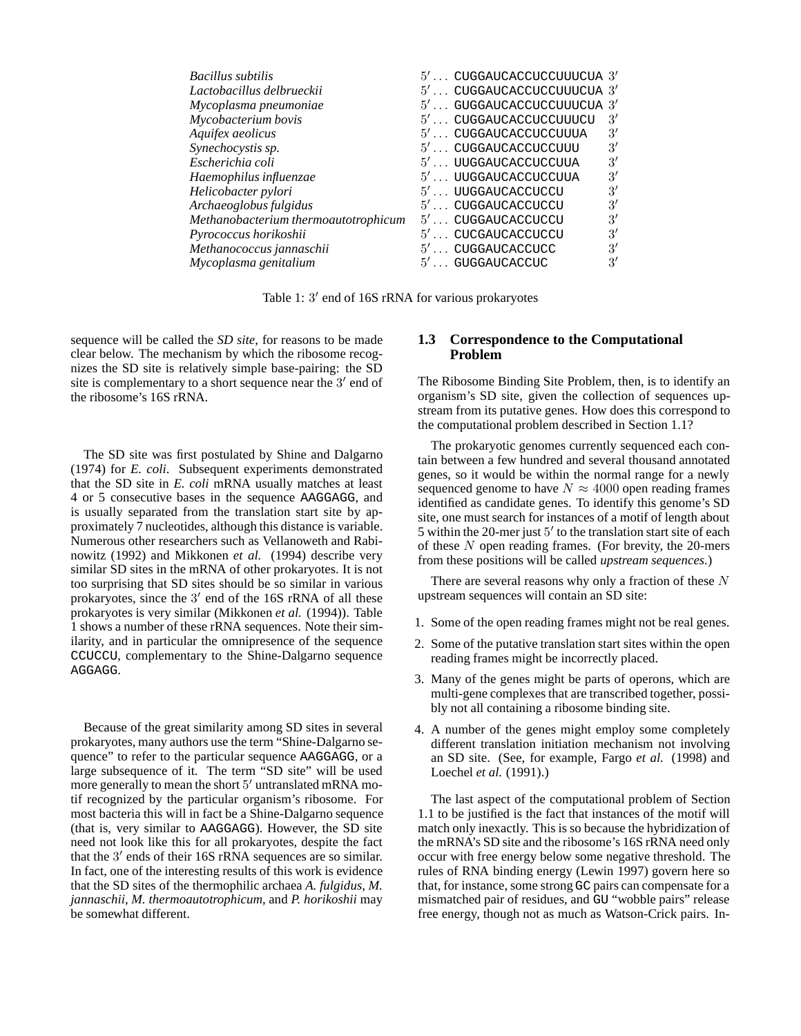| <b>Bacillus subtilis</b>             | $5' \ldots$ CUGGAUCACCUCCUUUCUA $3'$ |                |
|--------------------------------------|--------------------------------------|----------------|
| Lactobacillus delbrueckii            | $5' \dots$ CUGGAUCACCUCCUUUCUA $3'$  |                |
| Mycoplasma pneumoniae                | $5' \ldots$ GUGGAUCACCUCCUUUCUA $3'$ |                |
| Mycobacterium bovis                  | 5' CUGGAUCACCUCCUUUCU                | $\mathcal{R}'$ |
| Aquifex aeolicus                     | $5' \dots$ CUGGAUCACCUCCUUUA         | 3'             |
| Synechocystis sp.                    | $5' \ldots$ CUGGAUCACCUCCUUU         | $\mathcal{E}'$ |
| Escherichia coli                     | $5' \ldots$ UUGGAUCACCUCCUUA         | 3'             |
| Haemophilus influenzae               | $5' \ldots$ UUGGAUCACCUCCUUA         | 3'             |
| Helicobacter pylori                  | $5' \ldots$ UUGGAUCACCUCCU           | $\mathcal{E}'$ |
| Archaeoglobus fulgidus               | $5' \ldots$ CUGGAUCACCUCCU           | $\mathcal{E}'$ |
| Methanobacterium thermoautotrophicum | $5' \ldots$ CUGGAUCACCUCCU           | 3'             |
| Pyrococcus horikoshii                | $5' \ldots$ CUCGAUCACCUCCU           | 3'             |
| Methanococcus jannaschii             | $5' \dots$ CUGGAUCACCUCC             | 3'             |
| Mycoplasma genitalium                | $5' \dots$ GUGGAUCACCUC              | $\mathcal{R}'$ |
|                                      |                                      |                |

Table 1:  $3'$  end of 16S rRNA for various prokaryotes

sequence will be called the *SD site*, for reasons to be made clear below. The mechanism by which the ribosome recognizes the SD site is relatively simple base-pairing: the SD site is complementary to a short sequence near the  $3'$  end of the ribosome's 16S rRNA.

The SD site was first postulated by Shine and Dalgarno (1974) for *E. coli*. Subsequent experiments demonstrated that the SD site in *E. coli* mRNA usually matches at least 4 or 5 consecutive bases in the sequence AAGGAGG, and is usually separated from the translation start site by approximately 7 nucleotides, although this distance is variable. Numerous other researchers such as Vellanoweth and Rabinowitz (1992) and Mikkonen *et al.* (1994) describe very similar SD sites in the mRNA of other prokaryotes. It is not too surprising that SD sites should be so similar in various prokaryotes, since the  $3'$  end of the 16S rRNA of all these prokaryotes is very similar (Mikkonen *et al.* (1994)). Table 1 shows a number of these rRNA sequences. Note their similarity, and in particular the omnipresence of the sequence CCUCCU, complementary to the Shine-Dalgarno sequence AGGAGG.

Because of the great similarity among SD sites in several prokaryotes, many authors use the term "Shine-Dalgarno sequence" to refer to the particular sequence AAGGAGG, or a large subsequence of it. The term "SD site" will be used more generally to mean the short  $5'$  untranslated mRNA motif recognized by the particular organism's ribosome. For most bacteria this will in fact be a Shine-Dalgarno sequence (that is, very similar to AAGGAGG). However, the SD site need not look like this for all prokaryotes, despite the fact that the  $3'$  ends of their 16S rRNA sequences are so similar. In fact, one of the interesting results of this work is evidence that the SD sites of the thermophilic archaea *A. fulgidus*, *M. jannaschii*, *M. thermoautotrophicum*, and *P. horikoshii* may be somewhat different.

### **1.3 Correspondence to the Computational Problem**

The Ribosome Binding Site Problem, then, is to identify an organism's SD site, given the collection of sequences upstream from its putative genes. How does this correspond to the computational problem described in Section 1.1?

The prokaryotic genomes currently sequenced each contain between a few hundred and several thousand annotated genes, so it would be within the normal range for a newly sequenced genome to have  $N \approx 4000$  open reading frames identified as candidate genes. To identify this genome's SD site, one must search for instances of a motif of length about 5 within the 20-mer just  $5'$  to the translation start site of each of these  $N$  open reading frames. (For brevity, the 20-mers from these positions will be called *upstream sequences*.)

There are several reasons why only a fraction of these  $N$ upstream sequences will contain an SD site:

- 1. Some of the open reading frames might not be real genes.
- 2. Some of the putative translation start sites within the open reading frames might be incorrectly placed.
- 3. Many of the genes might be parts of operons, which are multi-gene complexes that are transcribed together, possibly not all containing a ribosome binding site.
- 4. A number of the genes might employ some completely different translation initiation mechanism not involving an SD site. (See, for example, Fargo *et al.* (1998) and Loechel *et al.* (1991).)

The last aspect of the computational problem of Section 1.1 to be justified is the fact that instances of the motif will match only inexactly. This is so because the hybridization of the mRNA's SD site and the ribosome's 16S rRNA need only occur with free energy below some negative threshold. The rules of RNA binding energy (Lewin 1997) govern here so that, for instance, some strong GC pairs can compensate for a mismatched pair of residues, and GU "wobble pairs" release free energy, though not as much as Watson-Crick pairs. In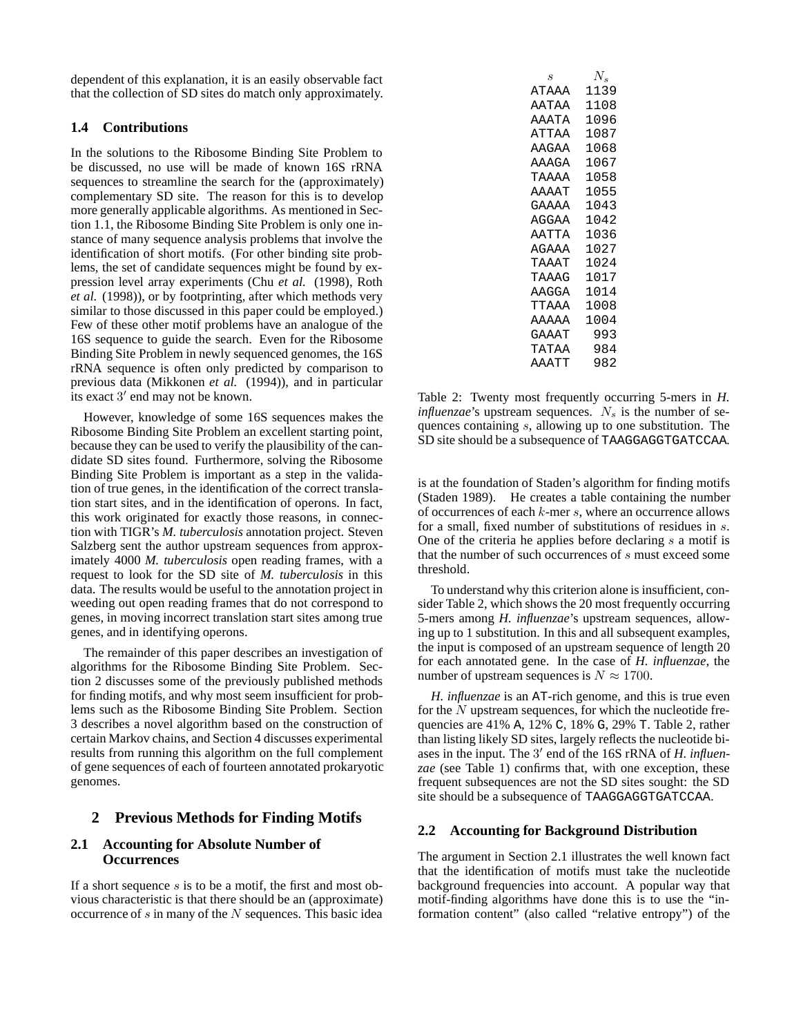dependent of this explanation, it is an easily observable fact that the collection of SD sites do match only approximately.

# **1.4 Contributions**

In the solutions to the Ribosome Binding Site Problem to be discussed, no use will be made of known 16S rRNA sequences to streamline the search for the (approximately) complementary SD site. The reason for this is to develop more generally applicable algorithms. As mentioned in Section 1.1, the Ribosome Binding Site Problem is only one instance of many sequence analysis problems that involve the identification of short motifs. (For other binding site problems, the set of candidate sequences might be found by expression level array experiments (Chu *et al.* (1998), Roth *et al.* (1998)), or by footprinting, after which methods very similar to those discussed in this paper could be employed.) Few of these other motif problems have an analogue of the 16S sequence to guide the search. Even for the Ribosome Binding Site Problem in newly sequenced genomes, the 16S rRNA sequence is often only predicted by comparison to previous data (Mikkonen *et al.* (1994)), and in particular its exact  $3'$  end may not be known.

However, knowledge of some 16S sequences makes the Ribosome Binding Site Problem an excellent starting point, because they can be used to verify the plausibility of the candidate SD sites found. Furthermore, solving the Ribosome Binding Site Problem is important as a step in the validation of true genes, in the identification of the correct translation start sites, and in the identification of operons. In fact, this work originated for exactly those reasons, in connection with TIGR's *M. tuberculosis* annotation project. Steven Salzberg sent the author upstream sequences from approximately 4000 *M. tuberculosis* open reading frames, with a request to look for the SD site of *M. tuberculosis* in this data. The results would be useful to the annotation project in weeding out open reading frames that do not correspond to genes, in moving incorrect translation start sites among true genes, and in identifying operons.

The remainder of this paper describes an investigation of algorithms for the Ribosome Binding Site Problem. Section 2 discusses some of the previously published methods for finding motifs, and why most seem insufficient for problems such as the Ribosome Binding Site Problem. Section 3 describes a novel algorithm based on the construction of certain Markov chains, and Section 4 discusses experimental results from running this algorithm on the full complement of gene sequences of each of fourteen annotated prokaryotic genomes.

# **2 Previous Methods for Finding Motifs**

# **2.1 Accounting for Absolute Number of Occurrences**

If a short sequence  $s$  is to be a motif, the first and most obvious characteristic is that there should be an (approximate) occurrence of  $s$  in many of the  $N$  sequences. This basic idea

| S     | $N_{\bullet}$ |
|-------|---------------|
| ATAAA | 1139          |
| AATAA | 1108          |
| AAATA | 1096          |
| ATTAA | 1087          |
| AAGAA | 1068          |
| AAAGA | 1067          |
| ΤΆΆΑΑ | 1058          |
| AAAAT | 1055          |
| GAAAA | 1043          |
| AGGAA | 1042          |
| AATTA | 1036          |
| AGAAA | 1027          |
| TAAAT | 1024          |
| TAAAG | 1017          |
| AAGGA | 1014          |
| TTAAA | 1008          |
| AAAAA | 1004          |
| GAAAT | 993           |
| TATAA | 984           |
| AAATT | 982           |
|       |               |

Table 2: Twenty most frequently occurring 5-mers in *H. influenzae*'s upstream sequences.  $N_s$  is the number of sequences containing s, allowing up to one substitution. The SD site should be a subsequence of TAAGGAGGTGATCCAA.

is at the foundation of Staden's algorithm for finding motifs (Staden 1989). He creates a table containing the number of occurrences of each  $k$ -mer  $s$ , where an occurrence allows for a small, fixed number of substitutions of residues in s. One of the criteria he applies before declaring  $s$  a motif is that the number of such occurrences of s must exceed some threshold.

To understand why this criterion alone is insufficient, consider Table 2, which shows the 20 most frequently occurring 5-mers among *H. influenzae*'s upstream sequences, allowing up to 1 substitution. In this and all subsequent examples, the input is composed of an upstream sequence of length 20 for each annotated gene. In the case of *H. influenzae*, the number of upstream sequences is  $N \approx 1700$ .

*H. influenzae* is an AT-rich genome, and this is true even for the  $N$  upstream sequences, for which the nucleotide frequencies are 41% A, 12% C, 18% G, 29% T. Table 2, rather than listing likely SD sites, largely reflects the nucleotide biases in the input. The 3' end of the 16S rRNA of *H. influenzae* (see Table 1) confirms that, with one exception, these frequent subsequences are not the SD sites sought: the SD site should be a subsequence of TAAGGAGGTGATCCAA.

# **2.2 Accounting for Background Distribution**

The argument in Section 2.1 illustrates the well known fact that the identification of motifs must take the nucleotide background frequencies into account. A popular way that motif-finding algorithms have done this is to use the "information content" (also called "relative entropy") of the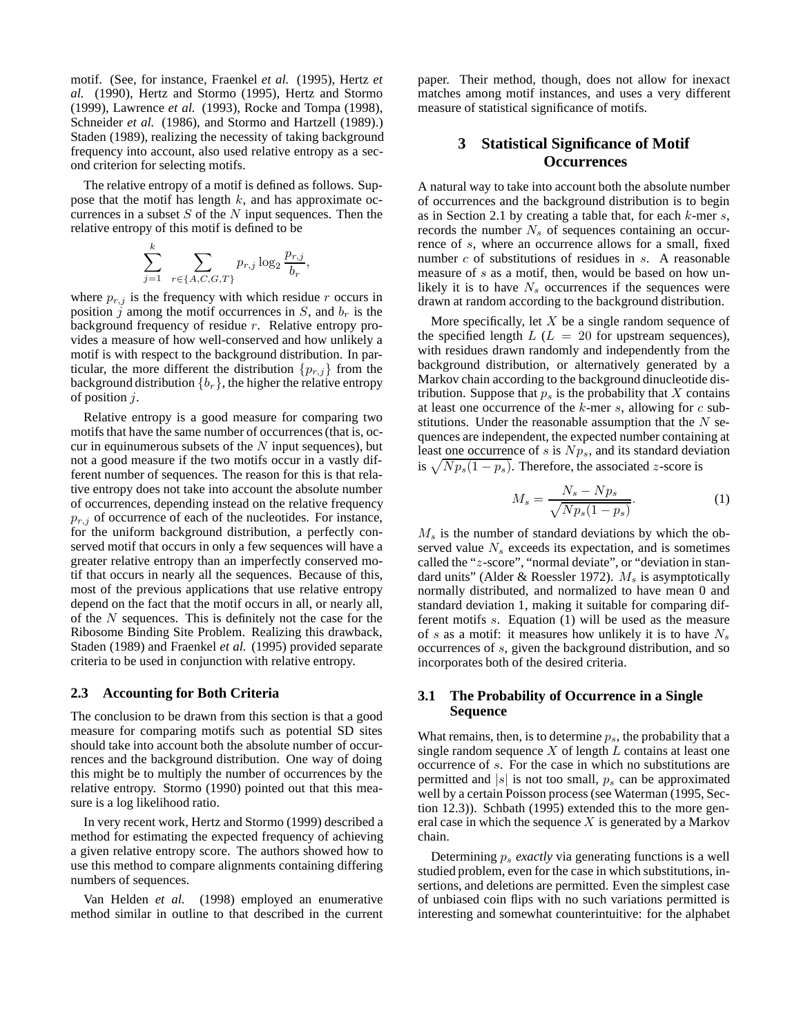motif. (See, for instance, Fraenkel *et al.* (1995), Hertz *et al.* (1990), Hertz and Stormo (1995), Hertz and Stormo (1999), Lawrence *et al.* (1993), Rocke and Tompa (1998), Schneider *et al.* (1986), and Stormo and Hartzell (1989).) Staden (1989), realizing the necessity of taking background frequency into account, also used relative entropy as a second criterion for selecting motifs.

The relative entropy of a motif is defined as follows. Suppose that the motif has length  $k$ , and has approximate occurrences in a subset  $S$  of the  $N$  input sequences. Then the relative entropy of this motif is defined to be

$$
\sum_{j=1}^{k} \sum_{r \in \{A, C, G, T\}} p_{r,j} \log_2 \frac{p_{r,j}}{b_r}
$$

,

where  $p_{r,j}$  is the frequency with which residue r occurs in position j among the motif occurrences in  $S$ , and  $b<sub>r</sub>$  is the background frequency of residue  $r$ . Relative entropy provides a measure of how well-conserved and how unlikely a motif is with respect to the background distribution. In particular, the more different the distribution  $\{p_{r,j}\}\$  from the background distribution  ${b_r}$ , the higher the relative entropy of position  $j$ .

Relative entropy is a good measure for comparing two motifs that have the same number of occurrences (that is, occur in equinumerous subsets of the  $N$  input sequences), but not a good measure if the two motifs occur in a vastly different number of sequences. The reason for this is that relative entropy does not take into account the absolute number of occurrences, depending instead on the relative frequency  $p_{r,j}$  of occurrence of each of the nucleotides. For instance, for the uniform background distribution, a perfectly conserved motif that occurs in only a few sequences will have a greater relative entropy than an imperfectly conserved motif that occurs in nearly all the sequences. Because of this, most of the previous applications that use relative entropy depend on the fact that the motif occurs in all, or nearly all, of the  $N$  sequences. This is definitely not the case for the Ribosome Binding Site Problem. Realizing this drawback, Staden (1989) and Fraenkel *et al.* (1995) provided separate criteria to be used in conjunction with relative entropy.

#### **2.3 Accounting for Both Criteria**

The conclusion to be drawn from this section is that a good measure for comparing motifs such as potential SD sites should take into account both the absolute number of occurrences and the background distribution. One way of doing this might be to multiply the number of occurrences by the relative entropy. Stormo (1990) pointed out that this measure is a log likelihood ratio.

In very recent work, Hertz and Stormo (1999) described a method for estimating the expected frequency of achieving a given relative entropy score. The authors showed how to use this method to compare alignments containing differing numbers of sequences.

Van Helden *et al.* (1998) employed an enumerative method similar in outline to that described in the current

paper. Their method, though, does not allow for inexact matches among motif instances, and uses a very different measure of statistical significance of motifs.

# **3 Statistical Significance of Motif Occurrences**

A natural way to take into account both the absolute number of occurrences and the background distribution is to begin as in Section 2.1 by creating a table that, for each  $k$ -mer  $s$ , records the number  $N<sub>s</sub>$  of sequences containing an occurrence of s, where an occurrence allows for a small, fixed number c of substitutions of residues in s. A reasonable measure of s as a motif, then, would be based on how unlikely it is to have  $N_s$  occurrences if the sequences were drawn at random according to the background distribution.

More specifically, let  $X$  be a single random sequence of the specified length  $L$  ( $L = 20$  for upstream sequences), with residues drawn randomly and independently from the background distribution, or alternatively generated by a Markov chain according to the background dinucleotide distribution. Suppose that  $p<sub>s</sub>$  is the probability that X contains at least one occurrence of the  $k$ -mer  $s$ , allowing for  $c$  substitutions. Under the reasonable assumption that the  $N$  sequences are independent, the expected number containing at least one occurrence of s is  $N p_s$ , and its standard deviation is  $\sqrt{N p_s(1 - p_s)}$ . Therefore, the associated z-score is

$$
M_s = \frac{N_s - Np_s}{\sqrt{Np_s(1 - p_s)}}.\tag{1}
$$

 $M<sub>s</sub>$  is the number of standard deviations by which the observed value  $N<sub>s</sub>$  exceeds its expectation, and is sometimes called the "z-score", "normal deviate", or "deviation in standard units" (Alder & Roessler 1972).  $M_s$  is asymptotically normally distributed, and normalized to have mean 0 and standard deviation 1, making it suitable for comparing different motifs s. Equation (1) will be used as the measure of s as a motif: it measures how unlikely it is to have  $N_s$ occurrences of s, given the background distribution, and so incorporates both of the desired criteria.

# **3.1 The Probability of Occurrence in a Single Sequence**

What remains, then, is to determine  $p_s$ , the probability that a single random sequence  $X$  of length  $L$  contains at least one occurrence of s. For the case in which no substitutions are permitted and  $|s|$  is not too small,  $p<sub>s</sub>$  can be approximated well by a certain Poisson process (see Waterman (1995, Section 12.3)). Schbath (1995) extended this to the more general case in which the sequence  $X$  is generated by a Markov chain.

Determining p<sup>s</sup> *exactly* via generating functions is a well studied problem, even for the case in which substitutions, insertions, and deletions are permitted. Even the simplest case of unbiased coin flips with no such variations permitted is interesting and somewhat counterintuitive: for the alphabet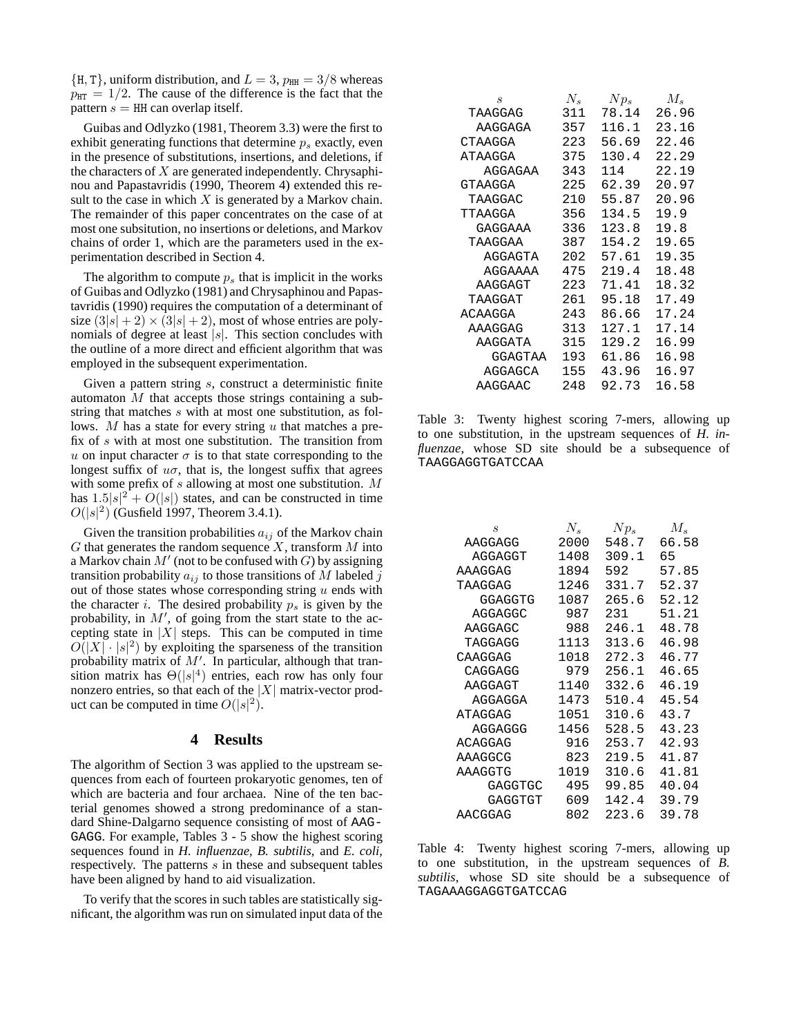$\{H, T\}$ , uniform distribution, and  $L = 3$ ,  $p_{HH} = 3/8$  whereas  $p_{\text{HT}} = 1/2$ . The cause of the difference is the fact that the pattern  $s = HH$  can overlap itself.

Guibas and Odlyzko (1981, Theorem 3.3) were the first to exhibit generating functions that determine  $p_s$  exactly, even in the presence of substitutions, insertions, and deletions, if the characters of  $X$  are generated independently. Chrysaphinou and Papastavridis (1990, Theorem 4) extended this result to the case in which  $X$  is generated by a Markov chain. The remainder of this paper concentrates on the case of at most one subsitution, no insertions or deletions, and Markov chains of order 1, which are the parameters used in the experimentation described in Section 4.

The algorithm to compute  $p_s$  that is implicit in the works of Guibas and Odlyzko (1981) and Chrysaphinou and Papastavridis (1990) requires the computation of a determinant of size  $(3|s| + 2) \times (3|s| + 2)$ , most of whose entries are polynomials of degree at least  $|s|$ . This section concludes with the outline of a more direct and efficient algorithm that was employed in the subsequent experimentation.

Given a pattern string s, construct a deterministic finite automaton  $M$  that accepts those strings containing a substring that matches s with at most one substitution, as follows.  $M$  has a state for every string  $u$  that matches a prefix of s with at most one substitution. The transition from u on input character  $\sigma$  is to that state corresponding to the longest suffix of  $u\sigma$ , that is, the longest suffix that agrees with some prefix of s allowing at most one substitution. M has  $1.5|s|^2 + O(|s|)$  states, and can be constructed in time  $O(|s|^2)$  (Gustield 1997) Theorem 3.4.1)  $O(|s|^2)$  (Gusfield 1997, Theorem 3.4.1).

Given the transition probabilities  $a_{ij}$  of the Markov chain  $G$  that generates the random sequence  $X$ , transform  $M$  into a Markov chain  $M'$  (not to be confused with  $G$ ) by assigning transition probability  $a_{ij}$  to those transitions of M labeled j out of those states whose corresponding string  $u$  ends with the character *i*. The desired probability  $p_s$  is given by the probability, in  $M'$ , of going from the start state to the accepting state in  $|X|$  steps. This can be computed in time  $O(|X| \cdot |s|^2)$  by exploiting the sparseness of the transition<br>probability matrix of M'. In particular, although that tranprobability matrix of  $M'$ . In particular, although that transition matrix has  $\Theta(|s|^4)$  entries, each row has only four nonzero entries so that each of the  $|X|$  matrix-vector prodnonzero entries, so that each of the  $|X|$  matrix-vector product can be computed in time  $O(|s|^2)$ .

#### **4 Results**

The algorithm of Section 3 was applied to the upstream sequences from each of fourteen prokaryotic genomes, ten of which are bacteria and four archaea. Nine of the ten bacterial genomes showed a strong predominance of a standard Shine-Dalgarno sequence consisting of most of AAG-GAGG. For example, Tables 3 - 5 show the highest scoring sequences found in *H. influenzae*, *B. subtilis*, and *E. coli*, respectively. The patterns s in these and subsequent tables have been aligned by hand to aid visualization.

To verify that the scores in such tables are statistically significant, the algorithm was run on simulated input data of the

| S       | $N_{s}$ | $Np_s$ | $M_{s}$ |
|---------|---------|--------|---------|
| TAAGGAG | 311     | 78.14  | 26.96   |
| AAGGAGA | 357     | 116.1  | 23.16   |
| CTAAGGA | 223     | 56.69  | 22.46   |
| ATAAGGA | 375     | 130.4  | 22.29   |
| AGGAGAA | 343     | 114    | 22.19   |
| GTAAGGA | 225     | 62.39  | 20.97   |
| TAAGGAC | 210     | 55.87  | 20.96   |
| TTAAGGA | 356     | 134.5  | 19.9    |
| GAGGAAA | 336     | 123.8  | 19.8    |
| TAAGGAA | 387     | 154.2  | 19.65   |
| AGGAGTA | 202     | 57.61  | 19.35   |
| AGGAAAA | 475     | 219.4  | 18.48   |
| AAGGAGT | 223     | 71.41  | 18.32   |
| TAAGGAT | 261     | 95.18  | 17.49   |
| ACAAGGA | 243     | 86.66  | 17.24   |
| AAAGGAG | 313     | 127.1  | 17.14   |
| AAGGATA | 315     | 129.2  | 16.99   |
| GGAGTAA | 193     | 61.86  | 16.98   |
| AGGAGCA | 155     | 43.96  | 16.97   |
| AAGGAAC | 248     | 92.73  | 16.58   |

Table 3: Twenty highest scoring 7-mers, allowing up to one substitution, in the upstream sequences of *H. influenzae*, whose SD site should be a subsequence of TAAGGAGGTGATCCAA

| S       | $N_{s}$ | $Np_s$ | $M_{s}$ |
|---------|---------|--------|---------|
| AAGGAGG | 2000    | 548.7  | 66.58   |
| AGGAGGT | 1408    | 309.1  | 65      |
| AAAGGAG | 1894    | 592    | 57.85   |
| TAAGGAG | 1246    | 331.7  | 52.37   |
| GGAGGTG | 1087    | 265.6  | 52.12   |
| AGGAGGC | 987     | 231    | 51.21   |
| AAGGAGC | 988     | 246.1  | 48.78   |
| TAGGAGG | 1113    | 313.6  | 46.98   |
| CAAGGAG | 1018    | 272.3  | 46.77   |
| CAGGAGG | 979     | 256.1  | 46.65   |
| AAGGAGT | 1140    | 332.6  | 46.19   |
| AGGAGGA | 1473    | 510.4  | 45.54   |
| ATAGGAG | 1051    | 310.6  | 43.7    |
| AGGAGGG | 1456    | 528.5  | 43.23   |
| ACAGGAG | 916     | 253.7  | 42.93   |
| AAAGGCG | 823     | 219.5  | 41.87   |
| AAAGGTG | 1019    | 310.6  | 41.81   |
| GAGGTGC | 495     | 99.85  | 40.04   |
| GAGGTGT | 609     | 142.4  | 39.79   |
| AACGGAG | 802     | 223.6  | 39.78   |

Table 4: Twenty highest scoring 7-mers, allowing up to one substitution, in the upstream sequences of *B. subtilis*, whose SD site should be a subsequence of TAGAAAGGAGGTGATCCAG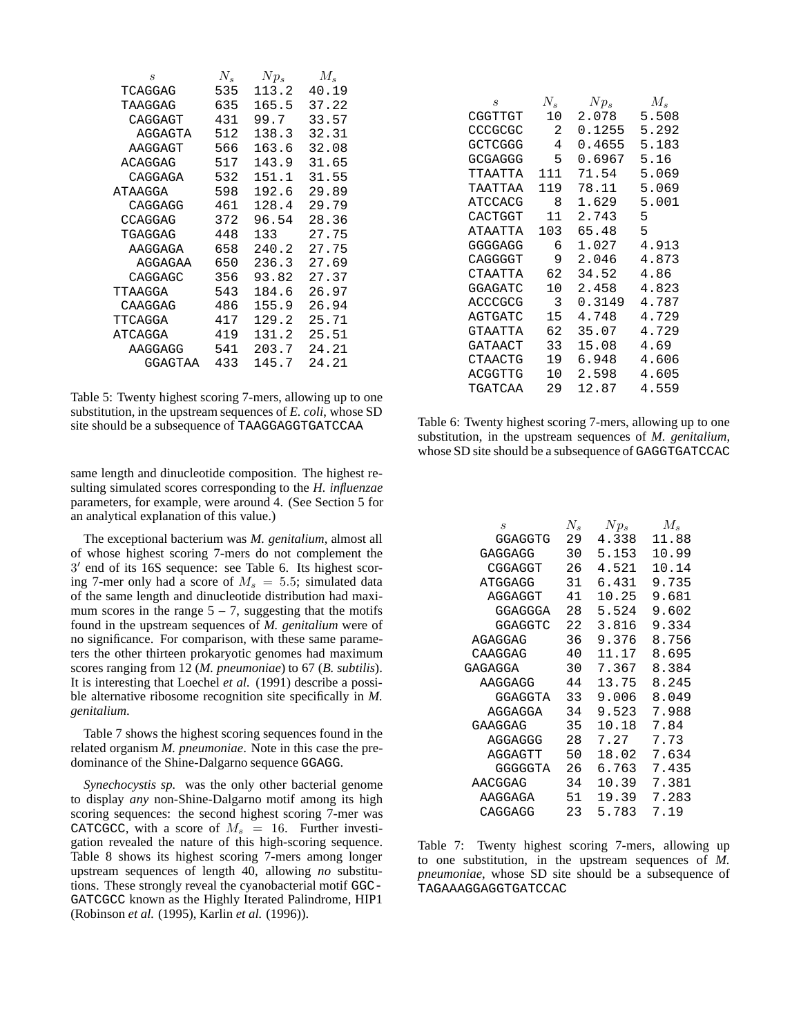| $\boldsymbol{s}$ | $N_{s}$ | $Np_s$ | $M_{s}$ |
|------------------|---------|--------|---------|
| TCAGGAG          | 535     | 113.2  | 40.19   |
| TAAGGAG          | 635     | 165.5  | 37.22   |
| CAGGAGT          | 431     | 99.7   | 33.57   |
| AGGAGTA          | 512     | 138.3  | 32.31   |
| AAGGAGT          | 566     | 163.6  | 32.08   |
| ACAGGAG          | 517     | 143.9  | 31.65   |
| CAGGAGA          | 532     | 151.1  | 31.55   |
| ATAAGGA          | 598     | 192.6  | 29.89   |
| CAGGAGG          | 461     | 128.4  | 29.79   |
| CCAGGAG          | 372     | 96.54  | 28.36   |
| TGAGGAG          | 448     | 133    | 27.75   |
| AAGGAGA          | 658     | 240.2  | 27.75   |
| AGGAGAA          | 650     | 236.3  | 27.69   |
| CAGGAGC          | 356     | 93.82  | 27.37   |
| TTAAGGA          | 543     | 184.6  | 26.97   |
| CAAGGAG          | 486     | 155.9  | 26.94   |
| TTCAGGA          | 417     | 129.2  | 25.71   |
| ATCAGGA          | 419     | 131.2  | 25.51   |
| AAGGAGG          | 541     | 203.7  | 24.21   |
| GGAGTAA          | 433     | 145.7  | 24.21   |

Table 5: Twenty highest scoring 7-mers, allowing up to one substitution, in the upstream sequences of *E. coli*, whose SD site should be a subsequence of TAAGGAGGTGATCCAA

same length and dinucleotide composition. The highest resulting simulated scores corresponding to the *H. influenzae* parameters, for example, were around 4. (See Section 5 for an analytical explanation of this value.)

The exceptional bacterium was *M. genitalium*, almost all of whose highest scoring 7-mers do not complement the  $3'$  end of its 16S sequence: see Table 6. Its highest scoring 7-mer only had a score of  $M_s = 5.5$ ; simulated data of the same length and dinucleotide distribution had maximum scores in the range  $5 - 7$ , suggesting that the motifs found in the upstream sequences of *M. genitalium* were of no significance. For comparison, with these same parameters the other thirteen prokaryotic genomes had maximum scores ranging from 12 (*M. pneumoniae*) to 67 (*B. subtilis*). It is interesting that Loechel *et al.* (1991) describe a possible alternative ribosome recognition site specifically in *M. genitalium*.

Table 7 shows the highest scoring sequences found in the related organism *M. pneumoniae*. Note in this case the predominance of the Shine-Dalgarno sequence GGAGG.

*Synechocystis sp.* was the only other bacterial genome to display *any* non-Shine-Dalgarno motif among its high scoring sequences: the second highest scoring 7-mer was CATCGCC, with a score of  $M_s = 16$ . Further investigation revealed the nature of this high-scoring sequence. Table 8 shows its highest scoring 7-mers among longer upstream sequences of length 40, allowing *no* substitutions. These strongly reveal the cyanobacterial motif GGC-GATCGCC known as the Highly Iterated Palindrome, HIP1 (Robinson *et al.* (1995), Karlin *et al.* (1996)).

| S              | $N_{s}$ | $Np_s$ | $M_{s}$ |
|----------------|---------|--------|---------|
| CGGTTGT        | 1 O     | 2.078  | 5.508   |
| CCCGCGC        | 2       | 0.1255 | 5.292   |
| <b>GCTCGGG</b> | 4       | 0.4655 | 5.183   |
| GCGAGGG        | 5       | 0.6967 | 5.16    |
| ͲͲΆΑͲͳΆ        | 111     | 71.54  | 5.069   |
| TAATTAA        | 119     | 78.11  | 5.069   |
| ATCCACG        | 8       | 1.629  | 5.001   |
| CACTGGT        | 11      | 2.743  | 5       |
| ATAATTA        | 103     | 65.48  | 5       |
| GGGGAGG        | 6       | 1.027  | 4.913   |
| CAGGGGT        | 9       | 2.046  | 4.873   |
| CTAATTA        | 62      | 34.52  | 4.86    |
| GGAGATC        |         | 2.458  | 4.823   |
| ACCCGCG        | 3       | 0.3149 | 4.787   |
| <b>AGTGATC</b> | 15      | 4.748  | 4.729   |
| GTAATTA        | 62      | 35.07  | 4.729   |
| GATAACT        | 33      | 15.08  | 4.69    |
| CTAACTG        | 19      | 6.948  | 4.606   |
| ACGGTTG        |         | 2.598  | 4.605   |
| TGATCAA        | 29      | 12.87  | 4.559   |

Table 6: Twenty highest scoring 7-mers, allowing up to one substitution, in the upstream sequences of *M. genitalium*, whose SD site should be a subsequence of GAGGTGATCCAC

| S              | $N_{s}$ | $Np_s$ | $M_{s}$ |
|----------------|---------|--------|---------|
| GGAGGTG        | 29      | 4.338  | 11.88   |
| GAGGAGG        | 30      | 5.153  | 10.99   |
| CGGAGGT        | 26      | 4.521  | 10.14   |
| ATGGAGG        | 31      | 6.431  | 9.735   |
| AGGAGGT        | 41      | 10.25  | 9.681   |
| GGAGGGA        | 28      | 5.524  | 9.602   |
| GGAGGTC        | 22      | 3.816  | 9.334   |
| AGAGGAG        | 36      | 9.376  | 8.756   |
| CAAGGAG        | 40      | 11.17  | 8.695   |
| GAGAGGA        | 30      | 7.367  | 8.384   |
| AAGGAGG        | 44      | 13.75  | 8.245   |
| GGAGGTA        | 33      | 9.006  | 8.049   |
| AGGAGGA        | 34      | 9.523  | 7.988   |
| GAAGGAG        | 35      | 10.18  | 7.84    |
| AGGAGGG        | 28      | 7.27   | 7.73    |
| AGGAGTT        | 50      | 18.02  | 7.634   |
| <b>GGGGGTA</b> | 26      | 6.763  | 7.435   |
| AACGGAG        | 34      | 10.39  | 7.381   |
| AAGGAGA        | 51      | 19.39  | 7.283   |
| CAGGAGG        | 23      | 5.783  | 7.19    |

Table 7: Twenty highest scoring 7-mers, allowing up to one substitution, in the upstream sequences of *M. pneumoniae*, whose SD site should be a subsequence of TAGAAAGGAGGTGATCCAC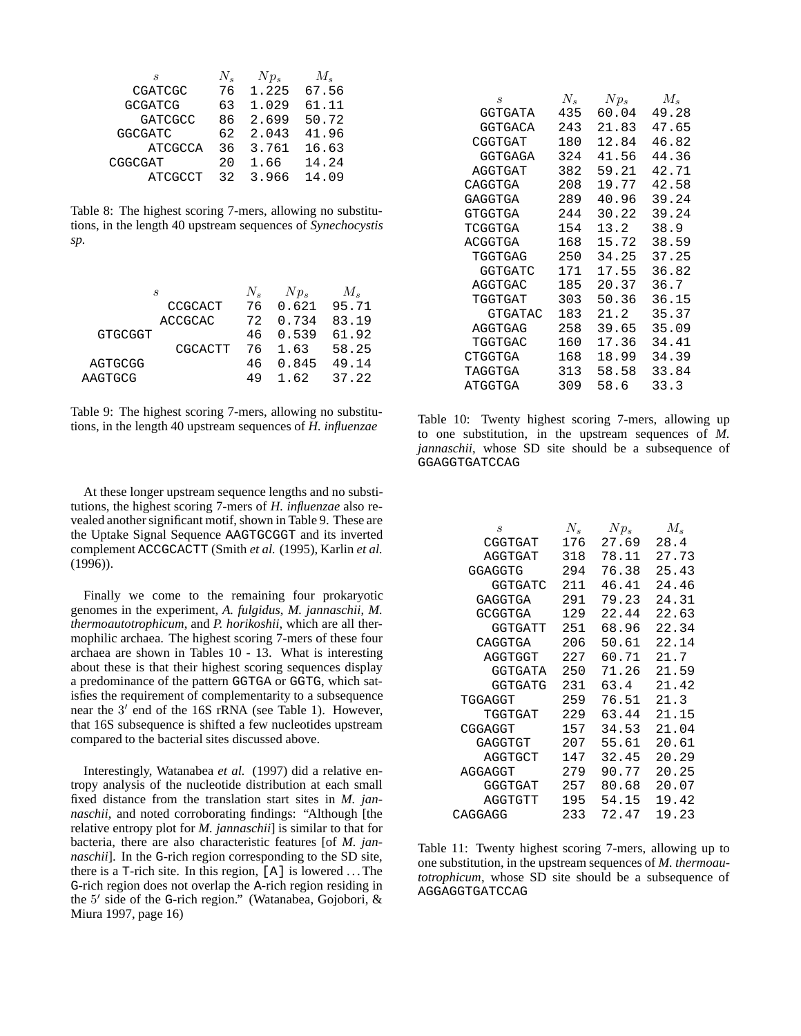| S              | $N_{\rm e}$ | $Np_s$ | $M_{s}$ |
|----------------|-------------|--------|---------|
| CGATCGC        | 76          | 1.225  | 67.56   |
| <b>GCGATCG</b> | 63          | 1.029  | 61.11   |
| <b>GATCGCC</b> | 86          | 2.699  | 50.72   |
| <b>GGCGATC</b> | 62          | 2.043  | 41.96   |
| <b>ATCGCCA</b> | 36          | 3.761  | 16.63   |
| CGGCGAT        | 2.0         | 1.66   | 14.24   |
| ATCGCCT        | 32          | 3.966  | 14.09   |

Table 8: The highest scoring 7-mers, allowing no substitutions, in the length 40 upstream sequences of *Synechocystis sp.*

|                | S              | $N_{\rm e}$ | $Np_s$   | $M_{\rm s}$   |
|----------------|----------------|-------------|----------|---------------|
|                | <b>CCGCACT</b> | 76          |          | $0.621$ 95.71 |
|                | <b>ACCGCAC</b> | 72          | 0.734    | 83.19         |
| <b>GTGCGGT</b> |                |             | 46 0.539 | 61.92         |
|                | CGCACTT        |             | 76 1.63  | 58.25         |
| AGTGCGG        |                | 46.         | 0.845    | 49.14         |
| AAGTGCG        |                | 49          | 162      | 37.22         |
|                |                |             |          |               |

Table 9: The highest scoring 7-mers, allowing no substitutions, in the length 40 upstream sequences of *H. influenzae*

At these longer upstream sequence lengths and no substitutions, the highest scoring 7-mers of *H. influenzae* also revealed another significant motif, shown in Table 9. These are the Uptake Signal Sequence AAGTGCGGT and its inverted complement ACCGCACTT (Smith *et al.* (1995), Karlin *et al.* (1996)).

Finally we come to the remaining four prokaryotic genomes in the experiment, *A. fulgidus*, *M. jannaschii*, *M. thermoautotrophicum*, and *P. horikoshii*, which are all thermophilic archaea. The highest scoring 7-mers of these four archaea are shown in Tables 10 - 13. What is interesting about these is that their highest scoring sequences display a predominance of the pattern GGTGA or GGTG, which satisfies the requirement of complementarity to a subsequence near the  $3'$  end of the 16S rRNA (see Table 1). However, that 16S subsequence is shifted a few nucleotides upstream compared to the bacterial sites discussed above.

Interestingly, Watanabea *et al.* (1997) did a relative entropy analysis of the nucleotide distribution at each small fixed distance from the translation start sites in *M. jannaschii*, and noted corroborating findings: "Although [the relative entropy plot for *M. jannaschii*] is similar to that for bacteria, there are also characteristic features [of *M. jannaschii*]. In the G-rich region corresponding to the SD site, there is a  $T$ -rich site. In this region,  $[A]$  is lowered ... The G-rich region does not overlap the A-rich region residing in the  $5'$  side of the G-rich region." (Watanabea, Gojobori, & Miura 1997, page 16)

| S              | $N_{s}$ | $Np_s$ | $M_{s}$ |
|----------------|---------|--------|---------|
| GGTGATA        | 435     | 60.04  | 49.28   |
| <b>GGTGACA</b> | 243     | 21.83  | 47.65   |
| CGGTGAT        | 180     | 12.84  | 46.82   |
| GGTGAGA        | 324     | 41.56  | 44.36   |
| AGGTGAT        | 382     | 59.21  | 42.71   |
| CAGGTGA        | 208     | 19.77  | 42.58   |
| GAGGTGA        | 289     | 40.96  | 39.24   |
| GTGGTGA        | 244     | 30.22  | 39.24   |
| TCGGTGA        | 154     | 13.2   | 38.9    |
| ACGGTGA        | 168     | 15.72  | 38.59   |
| TGGTGAG        | 250     | 34.25  | 37.25   |
| GGTGATC        | 171     | 17.55  | 36.82   |
| AGGTGAC        | 185     | 20.37  | 36.7    |
| TGGTGAT        | 303     | 50.36  | 36.15   |
| GTGATAC        | 183     | 21.2   | 35.37   |
| AGGTGAG        | 258     | 39.65  | 35.09   |
| TGGTGAC        | 160     | 17.36  | 34.41   |
| CTGGTGA        | 168     | 18.99  | 34.39   |
| TAGGTGA        | 313     | 58.58  | 33.84   |
| ATGGTGA        | 309     | 58.6   | 33.3    |

Table 10: Twenty highest scoring 7-mers, allowing up to one substitution, in the upstream sequences of *M. jannaschii*, whose SD site should be a subsequence of GGAGGTGATCCAG

| S              | $N_{s}$ | $Np_s$ | $M_{s}$ |
|----------------|---------|--------|---------|
| CGGTGAT        | 176     | 27.69  | 28.4    |
| AGGTGAT        | 318     | 78.11  | 27.73   |
| GGAGGTG        | 294     | 76.38  | 25.43   |
| GGTGATC        | 211     | 46.41  | 24.46   |
| GAGGTGA        | 291     | 79.23  | 24.31   |
| GCGGTGA        | 129     | 22.44  | 22.63   |
| GGTGATT        | 251     | 68.96  | 22.34   |
| CAGGTGA        | 206     | 50.61  | 22.14   |
| AGGTGGT        | 227     | 60.71  | 21.7    |
| GGTGATA        | 250     | 71.26  | 21.59   |
| <b>GGTGATG</b> | 231     | 63.4   | 21.42   |
| TGGAGGT        | 259     | 76.51  | 21.3    |
| TGGTGAT        | 229     | 63.44  | 21.15   |
| CGGAGGT        | 157     | 34.53  | 21.04   |
| GAGGTGT        | 207     | 55.61  | 20.61   |
| AGGTGCT        | 147     | 32.45  | 20.29   |
| AGGAGGT        | 279     | 90.77  | 20.25   |
| GGGTGAT        | 257     | 80.68  | 20.07   |
| AGGTGTT        | 195     | 54.15  | 19.42   |
| CAGGAGG        | 233     | 72.47  | 19.23   |

Table 11: Twenty highest scoring 7-mers, allowing up to one substitution, in the upstream sequences of *M. thermoautotrophicum*, whose SD site should be a subsequence of AGGAGGTGATCCAG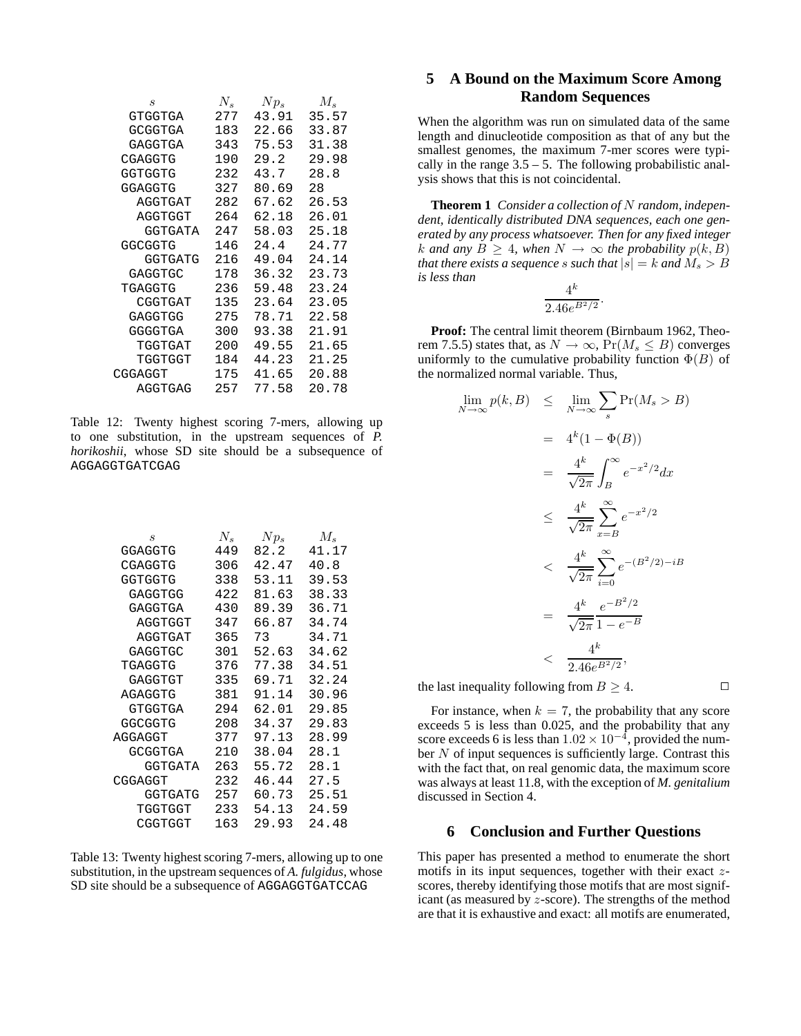| $\boldsymbol{s}$ | $N_s$ | $Np_s$ | $M_{s}$ |
|------------------|-------|--------|---------|
| GTGGTGA          | 277   | 43.91  | 35.57   |
| GCGGTGA          | 183   | 22.66  | 33.87   |
| GAGGTGA          | 343   | 75.53  | 31.38   |
| CGAGGTG          | 190   | 29.2   | 29.98   |
| GGTGGTG          | 232   | 43.7   | 28.8    |
| GGAGGTG          | 327   | 80.69  | 28      |
| AGGTGAT          | 282   | 67.62  | 26.53   |
| AGGTGGT          | 264   | 62.18  | 26.01   |
| GGTGATA          | 247   | 58.03  | 25.18   |
| GGCGGTG          | 146   | 24.4   | 24.77   |
| GGTGATG          | 216   | 49.04  | 24.14   |
| GAGGTGC          | 178   | 36.32  | 23.73   |
| TGAGGTG          | 236   | 59.48  | 23.24   |
| CGGTGAT          | 135   | 23.64  | 23.05   |
| GAGGTGG          | 275   | 78.71  | 22.58   |
| GGGGTGA          | 300   | 93.38  | 21.91   |
| TGGTGAT          | 200   | 49.55  | 21.65   |
| TGGTGGT          | 184   | 44.23  | 21.25   |
| CGGAGGT          | 175   | 41.65  | 20.88   |
| AGGTGAG          | 257   | 77.58  | 20.78   |

Table 12: Twenty highest scoring 7-mers, allowing up to one substitution, in the upstream sequences of *P. horikoshii*, whose SD site should be a subsequence of AGGAGGTGATCGAG

| $\boldsymbol{s}$ | $N_{s}$ | $Np_s$ | $M_{s}$ |
|------------------|---------|--------|---------|
| GGAGGTG          | 449     | 82.2   | 41.17   |
| CGAGGTG          | 306     | 42.47  | 40.8    |
| GGTGGTG          | 338     | 53.11  | 39.53   |
| GAGGTGG          | 422     | 81.63  | 38.33   |
| GAGGTGA          | 430     | 89.39  | 36.71   |
| AGGTGGT          | 347     | 66.87  | 34.74   |
| AGGTGAT          | 365     | 73     | 34.71   |
| GAGGTGC          | 301     | 52.63  | 34.62   |
| TGAGGTG          | 376     | 77.38  | 34.51   |
| GAGGTGT          | 335     | 69.71  | 32.24   |
| AGAGGTG          | 381     | 91.14  | 30.96   |
| GTGGTGA          | 294     | 62.01  | 29.85   |
| GGCGGTG          | 208     | 34.37  | 29.83   |
| AGGAGGT          | 377     | 97.13  | 28.99   |
| <b>GCGGTGA</b>   | 210     | 38.04  | 28.1    |
| GGTGATA          | 263     | 55.72  | 28.1    |
| CGGAGGT          | 232     | 46.44  | 27.5    |
| GGTGATG          | 257     | 60.73  | 25.51   |
| TGGTGGT          | 233     | 54.13  | 24.59   |
| CGGTGGT          | 163     | 29.93  | 24.48   |

Table 13: Twenty highest scoring 7-mers, allowing up to one substitution, in the upstream sequences of *A. fulgidus*, whose SD site should be a subsequence of AGGAGGTGATCCAG

# **5 A Bound on the Maximum Score Among Random Sequences**

When the algorithm was run on simulated data of the same length and dinucleotide composition as that of any but the smallest genomes, the maximum 7-mer scores were typically in the range  $3.5 - 5$ . The following probabilistic analysis shows that this is not coincidental.

**Theorem 1** *Consider a collection of* N *random, independent, identically distributed DNA sequences, each one generated by any process whatsoever. Then for any fixed integer k* and any  $B \geq 4$ , when  $N \rightarrow ∞$  the probability  $p(k, B)$ *that there exists a sequence s such that*  $|s| = k$  *and*  $M_s > B$ *is less than*  $\overline{1}$ 

$$
\frac{4^{\kappa}}{2.46e^{B^2/2}}.
$$

**Proof:** The central limit theorem (Birnbaum 1962, Theorem 7.5.5) states that, as  $N \to \infty$ ,  $Pr(M_s \leq B)$  converges uniformly to the cumulative probability function  $\Phi(B)$  of the normalized normal variable. Thus,

$$
\lim_{N \to \infty} p(k, B) \leq \lim_{N \to \infty} \sum_{s} \Pr(M_s > B)
$$
\n
$$
= 4^k (1 - \Phi(B))
$$
\n
$$
= \frac{4^k}{\sqrt{2\pi}} \int_B^{\infty} e^{-x^2/2} dx
$$
\n
$$
\leq \frac{4^k}{\sqrt{2\pi}} \sum_{x=B}^{\infty} e^{-x^2/2}
$$
\n
$$
< \frac{4^k}{\sqrt{2\pi}} \sum_{i=0}^{\infty} e^{-(B^2/2) - iB}
$$
\n
$$
= \frac{4^k}{\sqrt{2\pi}} \frac{e^{-B^2/2}}{1 - e^{-B}}
$$
\n
$$
< \frac{4^k}{2.46e^{B^2/2}},
$$
\n
$$
\dots \quad \dots \quad \Omega_{\infty} \quad \Omega_{\infty} \quad \Omega_{\infty} \quad \Omega_{\infty} \quad \Omega_{\infty} \quad \Omega_{\infty} \quad \Omega_{\infty} \quad \Omega_{\infty} \quad \Omega_{\infty} \quad \Omega_{\infty} \quad \Omega_{\infty} \quad \Omega_{\infty} \quad \Omega_{\infty} \quad \Omega_{\infty} \quad \Omega_{\infty} \quad \Omega_{\infty} \quad \Omega_{\infty} \quad \Omega_{\infty} \quad \Omega_{\infty} \quad \Omega_{\infty} \quad \Omega_{\infty} \quad \Omega_{\infty} \quad \Omega_{\infty} \quad \Omega_{\infty} \quad \Omega_{\infty} \quad \Omega_{\infty} \quad \Omega_{\infty} \quad \Omega_{\infty} \quad \Omega_{\infty} \quad \Omega_{\infty} \quad \Omega_{\infty} \quad \Omega_{\infty} \quad \Omega_{\infty} \quad \Omega_{\infty} \quad \Omega_{\infty} \quad \Omega_{\infty} \quad \Omega_{\infty} \quad \Omega_{\infty} \quad \Omega_{\infty} \quad \Omega_{\infty} \quad \Omega_{\infty} \quad \Omega_{\infty} \quad \Omega_{\infty} \quad \Omega_{\infty} \quad \Omega_{\infty} \quad \Omega_{\infty} \quad \Omega_{\infty} \quad \Omega_{\infty} \quad \Omega_{\infty} \quad \Omega_{\infty} \quad \Omega_{\infty} \quad \Omega_{\infty} \quad \Omega_{\infty} \quad
$$

the last inequality following from  $B \geq 4$ .

For instance, when  $k = 7$ , the probability that any score exceeds 5 is less than 0.025, and the probability that any score exceeds 6 is less than  $1.02 \times 10^{-4}$ , provided the num-<br>her N of input sequences is sufficiently large. Contrast this ber  $N$  of input sequences is sufficiently large. Contrast this with the fact that, on real genomic data, the maximum score was always at least 11.8, with the exception of *M. genitalium* discussed in Section 4.

### **6 Conclusion and Further Questions**

This paper has presented a method to enumerate the short motifs in its input sequences, together with their exact  $z$ scores, thereby identifying those motifs that are most significant (as measured by z-score). The strengths of the method are that it is exhaustive and exact: all motifs are enumerated,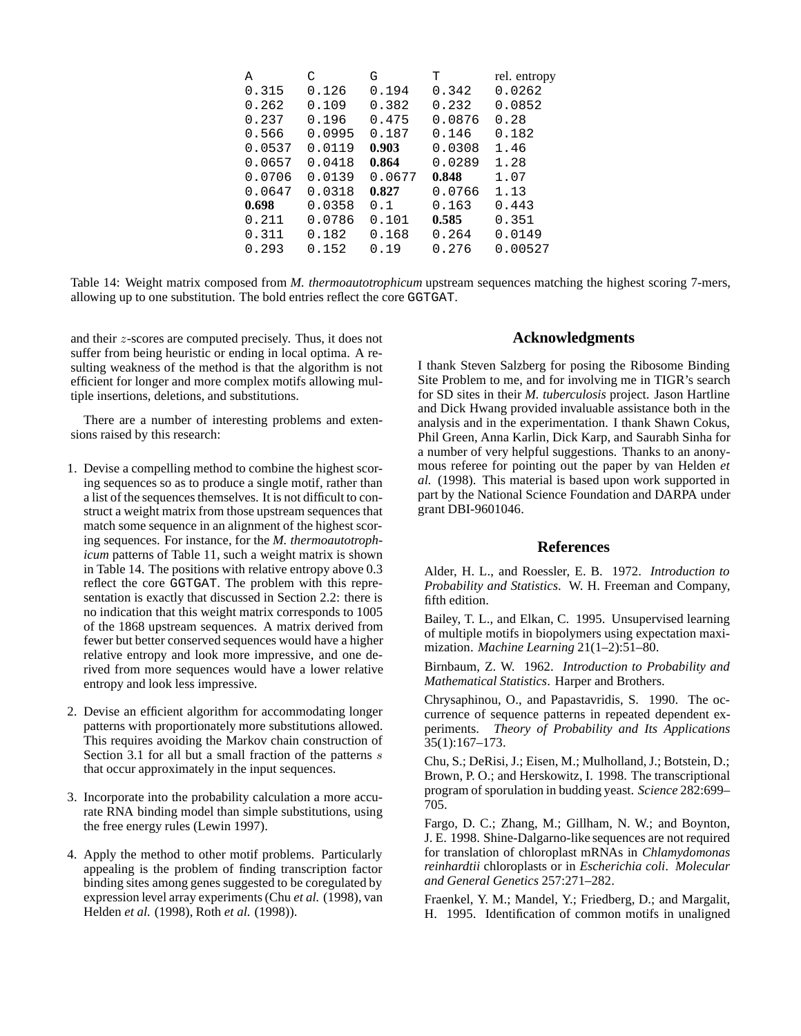| А      | C      | G      | т      | rel. entropy |
|--------|--------|--------|--------|--------------|
| 0.315  | 0.126  | 0.194  | 0.342  | 0.0262       |
| 0.262  | 0.109  | 0.382  | 0.232  | 0.0852       |
| 0.237  | 0.196  | 0.475  | 0.0876 | 0.28         |
| 0.566  | 0.0995 | 0.187  | 0.146  | 0.182        |
| 0.0537 | 0.0119 | 0.903  | 0.0308 | 1.46         |
| 0.0657 | 0.0418 | 0.864  | 0.0289 | 1.28         |
| 0.0706 | 0.0139 | 0.0677 | 0.848  | 1.07         |
| 0.0647 | 0.0318 | 0.827  | 0.0766 | 1.13         |
| 0.698  | 0.0358 | 0.1    | 0.163  | 0.443        |
| 0.211  | 0.0786 | 0.101  | 0.585  | 0.351        |
| 0.311  | 0.182  | 0.168  | 0.264  | 0.0149       |
| 0.293  | 0.152  | 0.19   | 0.276  | 0.00527      |

Table 14: Weight matrix composed from *M. thermoautotrophicum* upstream sequences matching the highest scoring 7-mers, allowing up to one substitution. The bold entries reflect the core GGTGAT.

and their z-scores are computed precisely. Thus, it does not suffer from being heuristic or ending in local optima. A resulting weakness of the method is that the algorithm is not efficient for longer and more complex motifs allowing multiple insertions, deletions, and substitutions.

There are a number of interesting problems and extensions raised by this research:

- 1. Devise a compelling method to combine the highest scoring sequences so as to produce a single motif, rather than a list of the sequences themselves. It is not difficult to construct a weight matrix from those upstream sequences that match some sequence in an alignment of the highest scoring sequences. For instance, for the *M. thermoautotrophicum* patterns of Table 11, such a weight matrix is shown in Table 14. The positions with relative entropy above 0.3 reflect the core GGTGAT. The problem with this representation is exactly that discussed in Section 2.2: there is no indication that this weight matrix corresponds to 1005 of the 1868 upstream sequences. A matrix derived from fewer but better conserved sequences would have a higher relative entropy and look more impressive, and one derived from more sequences would have a lower relative entropy and look less impressive.
- 2. Devise an efficient algorithm for accommodating longer patterns with proportionately more substitutions allowed. This requires avoiding the Markov chain construction of Section 3.1 for all but a small fraction of the patterns  $s$ that occur approximately in the input sequences.
- 3. Incorporate into the probability calculation a more accurate RNA binding model than simple substitutions, using the free energy rules (Lewin 1997).
- 4. Apply the method to other motif problems. Particularly appealing is the problem of finding transcription factor binding sites among genes suggested to be coregulated by expression level array experiments (Chu *et al.* (1998), van Helden *et al.* (1998), Roth *et al.* (1998)).

# **Acknowledgments**

I thank Steven Salzberg for posing the Ribosome Binding Site Problem to me, and for involving me in TIGR's search for SD sites in their *M. tuberculosis* project. Jason Hartline and Dick Hwang provided invaluable assistance both in the analysis and in the experimentation. I thank Shawn Cokus, Phil Green, Anna Karlin, Dick Karp, and Saurabh Sinha for a number of very helpful suggestions. Thanks to an anonymous referee for pointing out the paper by van Helden *et al.* (1998). This material is based upon work supported in part by the National Science Foundation and DARPA under grant DBI-9601046.

#### **References**

Alder, H. L., and Roessler, E. B. 1972. *Introduction to Probability and Statistics*. W. H. Freeman and Company, fifth edition.

Bailey, T. L., and Elkan, C. 1995. Unsupervised learning of multiple motifs in biopolymers using expectation maximization. *Machine Learning* 21(1–2):51–80.

Birnbaum, Z. W. 1962. *Introduction to Probability and Mathematical Statistics*. Harper and Brothers.

Chrysaphinou, O., and Papastavridis, S. 1990. The occurrence of sequence patterns in repeated dependent experiments. *Theory of Probability and Its Applications* 35(1):167–173.

Chu, S.; DeRisi, J.; Eisen, M.; Mulholland, J.; Botstein, D.; Brown, P. O.; and Herskowitz, I. 1998. The transcriptional program of sporulation in budding yeast. *Science* 282:699– 705.

Fargo, D. C.; Zhang, M.; Gillham, N. W.; and Boynton, J. E. 1998. Shine-Dalgarno-like sequences are not required for translation of chloroplast mRNAs in *Chlamydomonas reinhardtii* chloroplasts or in *Escherichia coli*. *Molecular and General Genetics* 257:271–282.

Fraenkel, Y. M.; Mandel, Y.; Friedberg, D.; and Margalit, H. 1995. Identification of common motifs in unaligned